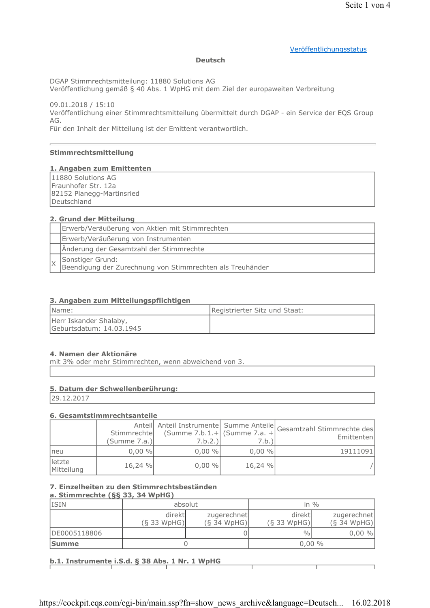# Veröffentlichungsstatus

#### **Deutsch**

DGAP Stimmrechtsmitteilung: 11880 Solutions AG

Veröffentlichung gemäß § 40 Abs. 1 WpHG mit dem Ziel der europaweiten Verbreitung

09.01.2018 / 15:10 Veröffentlichung einer Stimmrechtsmitteilung übermittelt durch DGAP - ein Service der EQS Group AG.

Für den Inhalt der Mitteilung ist der Emittent verantwortlich.

# Stimmrechtsmitteilung

#### 1. Angaben zum Emittenten

11880 Solutions AG Fraunhofer Str. 12a 82152 Planegg-Martinsried Deutschland

# 2. Grund der Mitteilung

| Erwerb/Veräußerung von Aktien mit Stimmrechten                                |  |
|-------------------------------------------------------------------------------|--|
| Erwerb/Veräußerung von Instrumenten                                           |  |
| Änderung der Gesamtzahl der Stimmrechte                                       |  |
| Sonstiger Grund:<br>Beendigung der Zurechnung von Stimmrechten als Treuhänder |  |

#### 3. Angaben zum Mitteilungspflichtigen

| Name:                                              | Registrierter Sitz und Staat: |
|----------------------------------------------------|-------------------------------|
| Herr Iskander Shalaby,<br>Geburtsdatum: 14.03.1945 |                               |

#### 4. Namen der Aktionäre

mit 3% oder mehr Stimmrechten, wenn abweichend von 3.

#### 5. Datum der Schwellenberührung:

29.12.2017

#### 6. Gesamtstimmrechtsanteile

|                      | Stimmrechte<br>(Summe 7.a.) | (Summe $7.b.1.+$ (Summe $7.a. +$<br>7.b.2.) | 7.b.)    | Anteil Anteil Instrumente Summe Anteile Gesamtzahl Stimmrechte des<br>Emittentenl |
|----------------------|-----------------------------|---------------------------------------------|----------|-----------------------------------------------------------------------------------|
| Ineu                 | $0,00\%$                    | $0,00\%$                                    | $0,00\%$ | 19111091                                                                          |
| letzte<br>Mitteilung | 16,24 %                     | $0,00\%$                                    | 16,24 %  |                                                                                   |

# 7. Einzelheiten zu den Stimmrechtsbeständen

# a. Stimmrechte (§§ 33, 34 WpHG)

| <b>ISIN</b>  | absolut       |               |               | in $\%$       |
|--------------|---------------|---------------|---------------|---------------|
|              | direktl       | zugerechnet   | direkt        | zugerechnet   |
|              | $(S$ 33 WpHG) | $(S$ 34 WpHG) | $(S$ 33 WpHG) | $(S$ 34 WpHG) |
| DE0005118806 |               |               | $\frac{0}{0}$ | $0,00\%$      |
| <b>Summe</b> |               |               | $0,00\%$      |               |

# b.1. Instrumente i.S.d. § 38 Abs. 1 Nr. 1 WpHG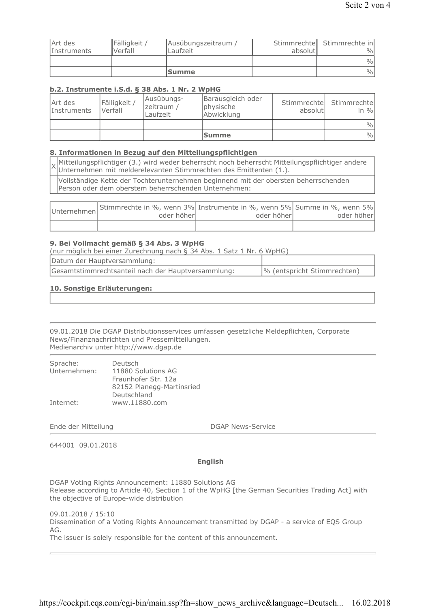|                    |              | <b>Summe</b>        |         | $\frac{0}{0}$              |
|--------------------|--------------|---------------------|---------|----------------------------|
|                    |              |                     |         | $\frac{0}{0}$              |
| <i>Instruments</i> | Verfall      | Laufzeit            | absolut | $\frac{0}{0}$              |
| Art des            | Fälligkeit / | Ausübungszeitraum / |         | Stimmrechte Stimmrechte in |

# b.2. Instrumente i.S.d. § 38 Abs. 1 Nr. 2 WpHG

| Art des<br><i>Instruments</i> | Fälligkeit /<br>Verfall | Ausübungs-<br>zeitraum /<br>Laufzeit | Barausgleich oder<br>physische<br>Abwicklung | absolutl | Stimmrechte Stimmrechte<br>in $\%$ |
|-------------------------------|-------------------------|--------------------------------------|----------------------------------------------|----------|------------------------------------|
|                               |                         |                                      |                                              |          | $\%$                               |
|                               |                         |                                      | <b>Summe</b>                                 |          | $\frac{0}{0}$                      |

# 8. Informationen in Bezug auf den Mitteilungspflichtigen

Mitteilungspflichtiger (3.) wird weder beherrscht noch beherrscht Mitteilungspflichtiger andere Unternehmen mit melderelevanten Stimmrechten des Emittenten (1.).

Vollständige Kette der Tochterunternehmen beginnend mit der obersten beherrschenden Person oder dem oberstem beherrschenden Unternehmen:

| Unternehmen Stimmrechte in %, wenn 3% Instrumente in %, wenn 5% Summe in %, wenn 5%<br>oder höherl | oder höherl | oder höher |
|----------------------------------------------------------------------------------------------------|-------------|------------|
|                                                                                                    |             |            |

#### 9. Bei Vollmacht gemäß § 34 Abs. 3 WpHG

| (nur möglich bei einer Zurechnung nach § 34 Abs. 1 Satz 1 Nr. 6 WpHG) |                             |  |
|-----------------------------------------------------------------------|-----------------------------|--|
| Datum der Hauptversammlung:                                           |                             |  |
| Gesamtstimmrechtsanteil nach der Hauptversammlung:                    | % (entspricht Stimmrechten) |  |

# 10. Sonstige Erläuterungen:

09.01.2018 Die DGAP Distributionsservices umfassen gesetzliche Meldepflichten, Corporate News/Finanznachrichten und Pressemitteilungen. Medienarchiv unter http://www.dgap.de

| Sprache:     | Deutsch                   |
|--------------|---------------------------|
| Unternehmen: | 11880 Solutions AG        |
|              | Fraunhofer Str. 12a       |
|              | 82152 Planegg-Martinsried |
|              | Deutschland               |
| Internet:    | www.11880.com             |

Ende der Mitteilung

**DGAP News-Service** 

644001 09.01.2018

# **English**

DGAP Voting Rights Announcement: 11880 Solutions AG Release according to Article 40, Section 1 of the WpHG [the German Securities Trading Act] with the objective of Europe-wide distribution

09.01.2018 / 15:10 Dissemination of a Voting Rights Announcement transmitted by DGAP - a service of EQS Group AG. The issuer is solely responsible for the content of this announcement.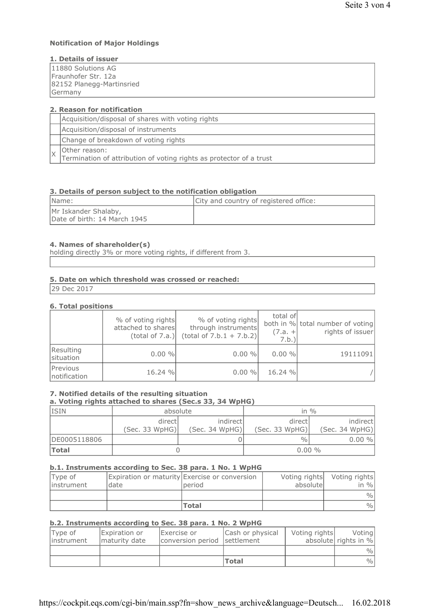# **Notification of Major Holdings**

# 1. Details of issuer

| 11880 Solutions AG        |
|---------------------------|
| lFraunhofer Str. 12a      |
| 82152 Planegg-Martinsried |
| Germany                   |

| 2. Reason for notification                                                           |  |  |  |  |
|--------------------------------------------------------------------------------------|--|--|--|--|
| Acquisition/disposal of shares with voting rights                                    |  |  |  |  |
| Acquisition/disposal of instruments                                                  |  |  |  |  |
| Change of breakdown of voting rights                                                 |  |  |  |  |
| Other reason:<br>Termination of attribution of voting rights as protector of a trust |  |  |  |  |

# 3. Details of person subject to the notification obligation

| Name:                                                | City and country of registered office: |
|------------------------------------------------------|----------------------------------------|
| Mr Iskander Shalaby,<br>Date of birth: 14 March 1945 |                                        |

#### 4. Names of shareholder(s)

holding directly 3% or more voting rights, if different from 3.

# 5. Date on which threshold was crossed or reached:

29 Dec 2017

# **6. Total positions**

|                          | % of voting rights<br>attached to shares<br>(total of 7.a.) | % of voting rights<br>through instruments<br>$(total of 7.b.1 + 7.b.2)$ | total of<br>$(7.a. +$<br>7.b.) | both in % total number of voting<br>rights of issuer |
|--------------------------|-------------------------------------------------------------|-------------------------------------------------------------------------|--------------------------------|------------------------------------------------------|
| Resulting<br>situation   | 0.00 %                                                      | 0.00 %                                                                  | $0.00 \%$                      | 19111091                                             |
| Previous<br>notification | 16.24 %                                                     | $0.00 \%$                                                               | 16.24%                         |                                                      |

#### 7. Notified details of the resulting situation

# a. Voting rights attached to shares (Sec.s 33, 34 WpHG)

| <b>ISIN</b>  | absolute                  |                             | in $\frac{0}{0}$          |                            |
|--------------|---------------------------|-----------------------------|---------------------------|----------------------------|
|              | directl<br>(Sec. 33 WpHG) | indirectl<br>(Sec. 34 WpHG) | directl<br>(Sec. 33 WpHG) | indirect<br>(Sec. 34 WpHG) |
| DE0005118806 |                           |                             | $\frac{0}{0}$             | $0.00 \%$                  |
| Total        |                           |                             | $0.00\%$                  |                            |

# b.1. Instruments according to Sec. 38 para. 1 No. 1 WpHG

| Type of<br>instrument | date | Expiration or maturity Exercise or conversion<br>period | absolutel | Voting rights Voting rights<br>in $\%$ |
|-----------------------|------|---------------------------------------------------------|-----------|----------------------------------------|
|                       |      |                                                         |           | $\frac{0}{0}$                          |
|                       |      | <b>Total</b>                                            |           | $\frac{0}{0}$                          |

# b.2. Instruments according to Sec. 38 para. 1 No. 2 WpHG

| Type of<br>linstrument | Expiration or<br>Imaturity date | Exercise or<br>conversion period settlement | Cash or physical | Voting rights | Voting<br>absolute rights in % |
|------------------------|---------------------------------|---------------------------------------------|------------------|---------------|--------------------------------|
|                        |                                 |                                             |                  |               | $\frac{0}{0}$                  |
|                        |                                 |                                             | Total            |               | $\frac{0}{0}$                  |